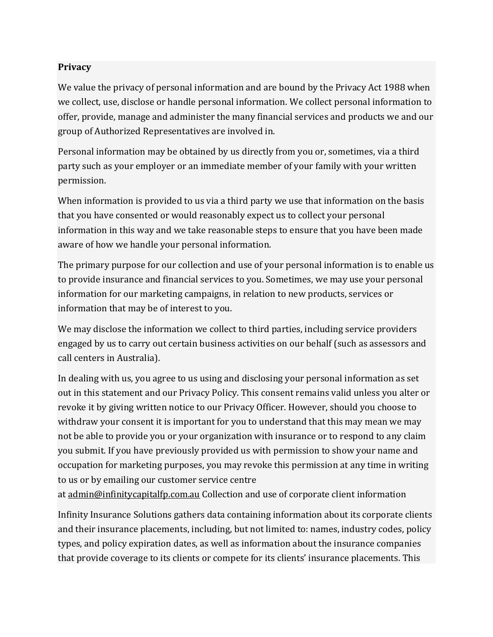## **Privacy**

We value the privacy of personal information and are bound by the Privacy Act 1988 when we collect, use, disclose or handle personal information. We collect personal information to offer, provide, manage and administer the many financial services and products we and our group of Authorized Representatives are involved in.

Personal information may be obtained by us directly from you or, sometimes, via a third party such as your employer or an immediate member of your family with your written permission.

When information is provided to us via a third party we use that information on the basis that you have consented or would reasonably expect us to collect your personal information in this way and we take reasonable steps to ensure that you have been made aware of how we handle your personal information.

The primary purpose for our collection and use of your personal information is to enable us to provide insurance and financial services to you. Sometimes, we may use your personal information for our marketing campaigns, in relation to new products, services or information that may be of interest to you.

We may disclose the information we collect to third parties, including service providers engaged by us to carry out certain business activities on our behalf (such as assessors and call centers in Australia).

In dealing with us, you agree to us using and disclosing your personal information as set out in this statement and our Privacy Policy. This consent remains valid unless you alter or revoke it by giving written notice to our Privacy Officer. However, should you choose to withdraw your consent it is important for you to understand that this may mean we may not be able to provide you or your organization with insurance or to respond to any claim you submit. If you have previously provided us with permission to show your name and occupation for marketing purposes, you may revoke this permission at any time in writing to us or by emailing our customer service centre

at admin@infinitycapitalfp.com.au Collection and use of corporate client information

Infinity Insurance Solutions gathers data containing information about its corporate clients and their insurance placements, including, but not limited to: names, industry codes, policy types, and policy expiration dates, as well as information about the insurance companies that provide coverage to its clients or compete for its clients' insurance placements. This